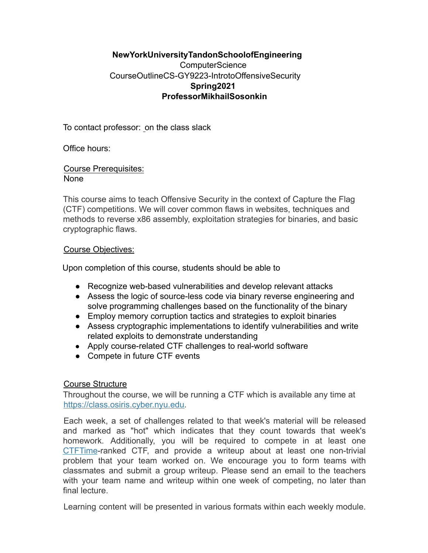# **New York University Tandon School of Engineering ComputerScience** Course Outline CS-GY 9223-Introto Offensive Security **Spring 2021 Professor Mikhail Sosonkin**

To contact professor:on the class slack

Office hours:

### Course Prerequisites: None

This course aims to teach Offensive Security in the context of Capture the Flag (CTF) competitions. We will cover common flaws in websites, techniques and methods to reverse x86 assembly, exploitation strategies for binaries, and basic cryptographic flaws.

### Course Objectives:

Upon completion of this course, students should be able to

- Recognize web-based vulnerabilities and develop relevant attacks
- Assess the logic of source-less code via binary reverse engineering and solve programming challenges based on the functionality of the binary
- Employ memory corruption tactics and strategies to exploit binaries
- Assess cryptographic implementations to identify vulnerabilities and write related exploits to demonstrate understanding
- Apply course-related CTF challenges to real-world software
- Compete in future CTF events

## Course Structure

Throughout the course, we will be running a CTF which is available any time at https://class.osiris.cyber.nyu.edu .

Each week, a set of challenges related to that week's material will be released and marked as "hot" which indicates that they count towards that week's homework. Additionally, you will be required to compete in at least one CTFTime -ranked CTF, and provide a writeup about at least one non-trivial problem that your team worked on. We encourage you to form teams with classmates and submit a group writeup. Please send an email to the teachers with your team name and writeup within one week of competing, no later than final lecture.

Learning content will be presented in various formats within each weekly module.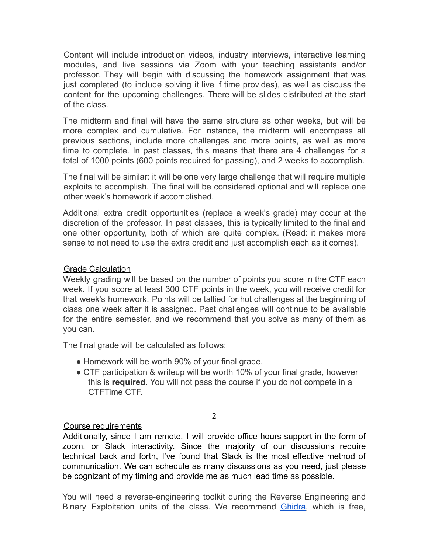Content will include introduction videos, industry interviews, interactive learning modules, and live sessions via Zoom with your teaching assistants and/or professor. They will begin with discussing the homework assignment that was just completed (to include solving it live if time provides), as well as discuss the content for the upcoming challenges. There will be slides distributed at the start of the class.

The midterm and final will have the same structure as other weeks, but will be more complex and cumulative. For instance, the midterm will encompass all previous sections, include more challenges and more points, as well as more time to complete. In past classes, this means that there are 4 challenges for a total of 1000 points (600 points required for passing), and 2 weeks to accomplish.

The final will be similar: it will be one very large challenge that will require multiple exploits to accomplish. The final will be considered optional and will replace one other week's homework if accomplished.

Additional extra credit opportunities (replace a week's grade) may occur at the discretion of the professor. In past classes, this is typically limited to the final and one other opportunity, both of which are quite complex. (Read: it makes more sense to not need to use the extra credit and just accomplish each as it comes).

### Grade Calculation

Weekly grading will be based on the number of points you score in the CTF each week. If you score at least 300 CTF points in the week, you will receive credit for that week's homework. Points will be tallied for hot challenges at the beginning of class one week after it is assigned. Past challenges will continue to be available for the entire semester, and we recommend that you solve as many of them as you can.

The final grade will be calculated as follows:

- Homework will be worth 90% of your final grade.
- CTF participation & writeup will be worth 10% of your final grade, however this is **required** . You will not pass the course if you do not compete in a CTFTime CTF.

## Course requirements

Additionally, since I am remote, I will provide office hours support in the form of zoom, or Slack interactivity. Since the majority of our discussions require technical back and forth, I've found that Slack is the most effective method of communication. We can schedule as many discussions as you need, just please be cognizant of my timing and provide me as much lead time as possible.

2

You will need a reverse-engineering toolkit during the Reverse Engineering and Binary Exploitation units of the class. We recommend Ghidra, which is free,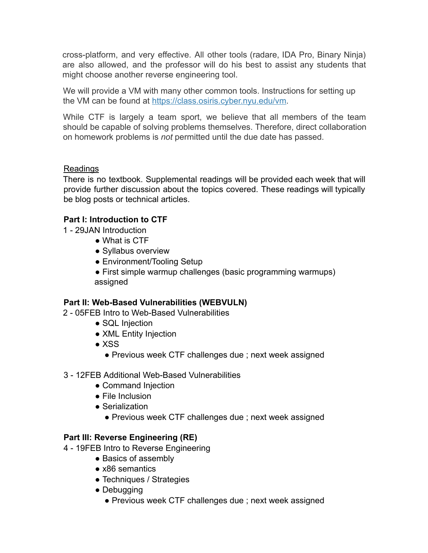cross-platform, and very effective. All other tools (radare, IDA Pro, Binary Ninja) are also allowed, and the professor will do his best to assist any students that might choose another reverse engineering tool.

We will provide a VM with many other common tools. Instructions for setting up the VM can be found at https://class.osiris.cyber.nyu.edu/vm .

While CTF is largely a team sport, we believe that all members of the team should be capable of solving problems themselves. Therefore, direct collaboration on homework problems is *not* permitted until the due date has passed.

# Readings

There is no textbook. Supplemental readings will be provided each week that will provide further discussion about the topics covered. These readings will typically be blog posts or technical articles.

# **Part I: Introduction to CTF**

- 1 29JAN Introduction
	- What is CTF
	- Syllabus overview
	- Environment/Tooling Setup
	- First simple warmup challenges (basic programming warmups) assigned

# **Part II: Web-Based Vulnerabilities (WEBVULN)**

- 2 05FEB Intro to Web-Based Vulnerabilities
	- SQL Injection
	- XML Entity Injection
	- XSS
		- Previous week CTF challenges due ; next week assigned
- 3 12FEB Additional Web-Based Vulnerabilities
	- Command Injection
	- File Inclusion
	- Serialization
		- Previous week CTF challenges due ; next week assigned

## **Part III: Reverse Engineering (RE)**

- 4 19FEB Intro to Reverse Engineering
	- Basics of assembly
		- x86 semantics
		- Techniques / Strategies
		- Debugging
			- Previous week CTF challenges due ; next week assigned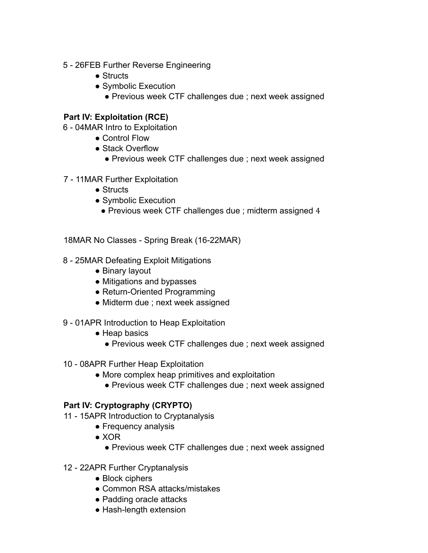- 5 26FEB Further Reverse Engineering
	- Structs
	- Symbolic Execution
		- Previous week CTF challenges due ; next week assigned

## **Part IV: Exploitation (RCE)**

- 6 04MAR Intro to Exploitation
	- Control Flow
	- Stack Overflow
		- Previous week CTF challenges due ; next week assigned
- 7 11MAR Further Exploitation
	- Structs
	- Symbolic Execution
		- Previous week CTF challenges due ; midterm assigned 4

18MAR No Classes - Spring Break (16-22MAR)

- 8 25MAR Defeating Exploit Mitigations
	- Binary layout
	- Mitigations and bypasses
	- Return-Oriented Programming
	- Midterm due ; next week assigned
- 9 01APR Introduction to Heap Exploitation
	- Heap basics
		- Previous week CTF challenges due ; next week assigned
- 10 08APR Further Heap Exploitation
	- More complex heap primitives and exploitation
		- Previous week CTF challenges due ; next week assigned

## **Part IV: Cryptography (CRYPTO)**

- 11 15APR Introduction to Cryptanalysis
	- Frequency analysis
	- $\bullet$  XOR
		- Previous week CTF challenges due ; next week assigned
- 12 22APR Further Cryptanalysis
	- Block ciphers
	- Common RSA attacks/mistakes
	- Padding oracle attacks
	- Hash-length extension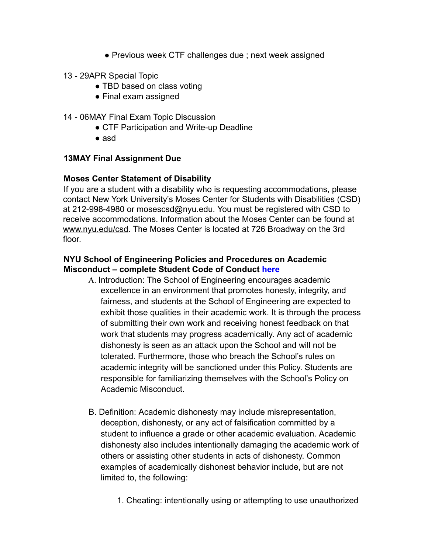- Previous week CTF challenges due ; next week assigned
- 13 29APR Special Topic
	- TBD based on class voting
	- Final exam assigned
- 14 06MAY Final Exam Topic Discussion
	- CTF Participation and Write-up Deadline
	- asd

## **13MAY Final Assignment Due**

### **Moses Center Statement of Disability**

If you are a student with a disability who is requesting accommodations, please contact New York University's Moses Center for Students with Disabilities (CSD) at 212-998-4980 or mosescsd@nyu.edu . You must be registered with CSD to receive accommodations. Information about the Moses Center can be found at www.nyu.edu/csd . The Moses Center is located at 726 Broadway on the 3rd floor.

### **NYU School of Engineering Policies and Procedures on Academic Misconduct – complete Student Code of Conduct here**

- A. Introduction: The School of Engineering encourages academic excellence in an environment that promotes honesty, integrity, and fairness, and students at the School of Engineering are expected to exhibit those qualities in their academic work. It is through the process of submitting their own work and receiving honest feedback on that work that students may progress academically. Any act of academic dishonesty is seen as an attack upon the School and will not be tolerated. Furthermore, those who breach the School's rules on academic integrity will be sanctioned under this Policy. Students are responsible for familiarizing themselves with the School's Policy on Academic Misconduct.
- B. Definition: Academic dishonesty may include misrepresentation, deception, dishonesty, or any act of falsification committed by a student to influence a grade or other academic evaluation. Academic dishonesty also includes intentionally damaging the academic work of others or assisting other students in acts of dishonesty. Common examples of academically dishonest behavior include, but are not limited to, the following:
	- 1. Cheating: intentionally using or attempting to use unauthorized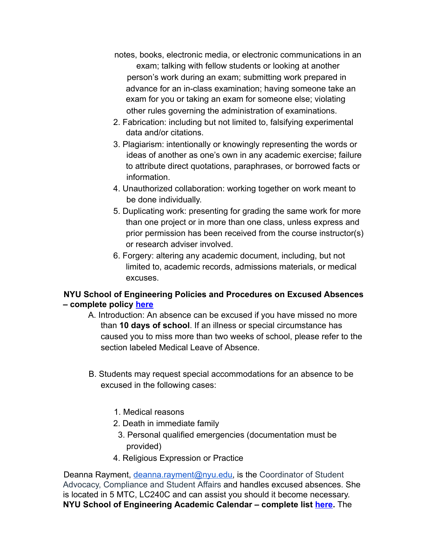- notes, books, electronic media, or electronic communications in an exam; talking with fellow students or looking at another person's work during an exam; submitting work prepared in advance for an in-class examination; having someone take an exam for you or taking an exam for someone else; violating other rules governing the administration of examinations.
- 2. Fabrication: including but not limited to, falsifying experimental data and/or citations.
- 3. Plagiarism: intentionally or knowingly representing the words or ideas of another as one's own in any academic exercise; failure to attribute direct quotations, paraphrases, or borrowed facts or information.
- 4. Unauthorized collaboration: working together on work meant to be done individually.
- 5. Duplicating work: presenting for grading the same work for more than one project or in more than one class, unless express and prior permission has been received from the course instructor(s) or research adviser involved.
- 6. Forgery: altering any academic document, including, but not limited to, academic records, admissions materials, or medical excuses.

# **NYU School of Engineering Policies and Procedures on Excused Absences – complete policy here**

- A. Introduction: An absence can be excused if you have missed no more than **10 days of school** . If an illness or special circumstance has caused you to miss more than two weeks of school, please refer to the section labeled Medical Leave of Absence.
- B. Students may request special accommodations for an absence to be excused in the following cases:
	- 1. Medical reasons
	- 2. Death in immediate family
	- 3. Personal qualified emergencies (documentation must be provided)
	- 4. Religious Expression or Practice

Deanna Rayment, deanna.rayment@nyu.edu, is the Coordinator of Student Advocacy, Compliance and Student Affairs and handles excused absences. She is located in 5 MTC, LC240C and can assist you should it become necessary. **NYU School of Engineering Academic Calendar – complete list here.** The